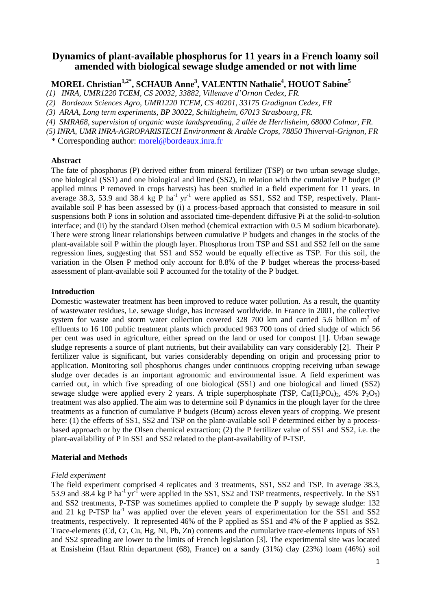# **Dynamics of plant-available phosphorus for 11 years in a French loamy soil amended with biological sewage sludge amended or not with lime**

# **MOREL Christian1,2\*, SCHAUB Anne<sup>3</sup> , VALENTIN Nathalie<sup>4</sup> , HOUOT Sabine<sup>5</sup>**

*(1) INRA, UMR1220 TCEM, CS 20032, 33882, Villenave d'Ornon Cedex, FR.* 

- *(2) Bordeaux Sciences Agro, UMR1220 TCEM, CS 40201, 33175 Gradignan Cedex, FR*
- *(3) ARAA, Long term experiments, BP 30022, Schiltigheim, 67013 Strasbourg, FR.*

*(4) SMRA68, supervision of organic waste landspreading, 2 allée de Herrlisheim, 68000 Colmar, FR.* 

*(5) INRA, UMR INRA-AGROPARISTECH Environment & Arable Crops, 78850 Thiverval-Grignon, FR* 

\* Corresponding author: morel@bordeaux.inra.fr

#### **Abstract**

The fate of phosphorus (P) derived either from mineral fertilizer (TSP) or two urban sewage sludge, one biological (SS1) and one biological and limed (SS2), in relation with the cumulative P budget (P applied minus P removed in crops harvests) has been studied in a field experiment for 11 years. In average 38.3, 53.9 and 38.4 kg P ha<sup>-1</sup> yr<sup>-1</sup> were applied as SS1, SS2 and TSP, respectively. Plantavailable soil P has been assessed by (i) a process-based approach that consisted to measure in soil suspensions both P ions in solution and associated time-dependent diffusive Pi at the solid-to-solution interface; and (ii) by the standard Olsen method (chemical extraction with 0.5 M sodium bicarbonate). There were strong linear relationships between cumulative P budgets and changes in the stocks of the plant-available soil P within the plough layer. Phosphorus from TSP and SS1 and SS2 fell on the same regression lines, suggesting that SS1 and SS2 would be equally effective as TSP. For this soil, the variation in the Olsen P method only account for 8.8% of the P budget whereas the process-based assessment of plant-available soil P accounted for the totality of the P budget.

### **Introduction**

Domestic wastewater treatment has been improved to reduce water pollution. As a result, the quantity of wastewater residues, i.e. sewage sludge, has increased worldwide. In France in 2001, the collective system for waste and storm water collection covered 328 700 km and carried 5.6 billion  $m<sup>3</sup>$  of effluents to 16 100 public treatment plants which produced 963 700 tons of dried sludge of which 56 per cent was used in agriculture, either spread on the land or used for compost [1]. Urban sewage sludge represents a source of plant nutrients, but their availability can vary considerably [2]. Their P fertilizer value is significant, but varies considerably depending on origin and processing prior to application. Monitoring soil phosphorus changes under continuous cropping receiving urban sewage sludge over decades is an important agronomic and environmental issue. A field experiment was carried out, in which five spreading of one biological (SS1) and one biological and limed (SS2) sewage sludge were applied every 2 years. A triple superphosphate (TSP,  $Ca(H_2PO_4)_2$ , 45%  $P_2O_5$ ) treatment was also applied. The aim was to determine soil P dynamics in the plough layer for the three treatments as a function of cumulative P budgets (Bcum) across eleven years of cropping. We present here: (1) the effects of SS1, SS2 and TSP on the plant-available soil P determined either by a processbased approach or by the Olsen chemical extraction; (2) the P fertilizer value of SS1 and SS2, i.e. the plant-availability of P in SS1 and SS2 related to the plant-availability of P-TSP.

#### **Material and Methods**

#### *Field experiment*

The field experiment comprised 4 replicates and 3 treatments, SS1, SS2 and TSP. In average 38.3, 53.9 and 38.4 kg P ha<sup>-1</sup> yr<sup>-1</sup> were applied in the SS1, SS2 and TSP treatments, respectively. In the SS1 and SS2 treatments, P-TSP was sometimes applied to complete the P supply by sewage sludge: 132 and 21 kg P-TSP  $ha^{-1}$  was applied over the eleven years of experimentation for the SS1 and SS2 treatments, respectively. It represented 46% of the P applied as SS1 and 4% of the P applied as SS2. Trace-elements (Cd, Cr, Cu, Hg, Ni, Pb, Zn) contents and the cumulative trace-elements inputs of SS1 and SS2 spreading are lower to the limits of French legislation [3]. The experimental site was located at Ensisheim (Haut Rhin department (68), France) on a sandy (31%) clay (23%) loam (46%) soil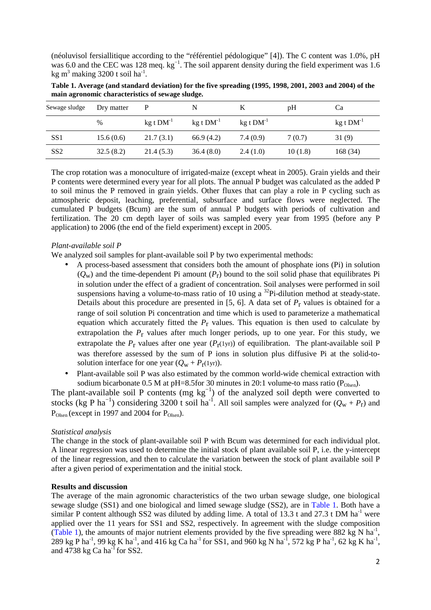(néoluvisol fersiallitique according to the "référentiel pédologique" [4]). The C content was 1.0%, pH was 6.0 and the CEC was 128 meq. kg<sup>-1</sup>. The soil apparent density during the field experiment was 1.6 kg m<sup>3</sup> making 3200 t soil ha<sup>-1</sup>.

| Sewage sludge   | Dry matter | P           |             |                  | pH      | Cа          |
|-----------------|------------|-------------|-------------|------------------|---------|-------------|
|                 | $\%$       | $kg t DM-1$ | $kg t DM-1$ | $kg$ t $DM^{-1}$ |         | $kg t DM-1$ |
| SS <sub>1</sub> | 15.6(0.6)  | 21.7(3.1)   | 66.9 (4.2)  | 7.4 (0.9)        | 7(0.7)  | 31(9)       |
| SS <sub>2</sub> | 32.5(8.2)  | 21.4(5.3)   | 36.4(8.0)   | 2.4(1.0)         | 10(1.8) | 168 (34)    |

**Table 1. Average (and standard deviation) for the five spreading (1995, 1998, 2001, 2003 and 2004) of the main agronomic characteristics of sewage sludge.** 

The crop rotation was a monoculture of irrigated-maize (except wheat in 2005). Grain yields and their P contents were determined every year for all plots. The annual P budget was calculated as the added P to soil minus the P removed in grain yields. Other fluxes that can play a role in P cycling such as atmospheric deposit, leaching, preferential, subsurface and surface flows were neglected. The cumulated P budgets (Bcum) are the sum of annual P budgets with periods of cultivation and fertilization. The 20 cm depth layer of soils was sampled every year from 1995 (before any P application) to 2006 (the end of the field experiment) except in 2005.

# *Plant-available soil P*

We analyzed soil samples for plant-available soil P by two experimental methods:

- A process-based assessment that considers both the amount of phosphate ions (Pi) in solution  $(Q_w)$  and the time-dependent Pi amount  $(P_r)$  bound to the soil solid phase that equilibrates Pi in solution under the effect of a gradient of concentration. Soil analyses were performed in soil suspensions having a volume-to-mass ratio of 10 using a <sup>32</sup>Pi-dilution method at steady-state. Details about this procedure are presented in  $[5, 6]$ . A data set of  $P_r$  values is obtained for a range of soil solution Pi concentration and time which is used to parameterize a mathematical equation which accurately fitted the  $P_r$  values. This equation is then used to calculate by extrapolation the *P*r values after much longer periods, up to one year. For this study, we extrapolate the  $P_r$  values after one year  $(P_r(1yr))$  of equilibration. The plant-available soil P was therefore assessed by the sum of P ions in solution plus diffusive Pi at the solid-tosolution interface for one year  $(Q_w + P_r(1yr))$ .
- Plant-available soil P was also estimated by the common world-wide chemical extraction with sodium bicarbonate 0.5 M at pH=8.5for 30 minutes in 20:1 volume-to mass ratio ( $P_{Olsen}$ ).

The plant-available soil P contents (mg  $kg^{-1}$ ) of the analyzed soil depth were converted to stocks (kg P ha<sup>-1</sup>) considering 3200 t soil ha<sup>-1</sup>. All soil samples were analyzed for  $(Q_w + P_r)$  and  $P_{Olsen}$  (except in 1997 and 2004 for  $P_{Olsen}$ ).

## *Statistical analysis*

The change in the stock of plant-available soil P with Bcum was determined for each individual plot. A linear regression was used to determine the initial stock of plant available soil P, i.e. the y-intercept of the linear regression, and then to calculate the variation between the stock of plant available soil P after a given period of experimentation and the initial stock.

## **Results and discussion**

The average of the main agronomic characteristics of the two urban sewage sludge, one biological sewage sludge (SS1) and one biological and limed sewage sludge (SS2), are in Table 1. Both have a similar P content although SS2 was diluted by adding lime. A total of 13.3 t and 27.3 t DM ha<sup>-1</sup> were applied over the 11 years for SS1 and SS2, respectively. In agreement with the sludge composition (Table 1), the amounts of major nutrient elements provided by the five spreading were  $882 \text{ kg N} \text{ ha}^{-1}$ , 289 kg P ha<sup>-1</sup>, 99 kg K ha<sup>-1</sup>, and 416 kg Ca ha<sup>-1</sup> for SS1, and 960 kg N ha<sup>-1</sup>, 572 kg P ha<sup>-1</sup>, 62 kg K ha<sup>-1</sup>, and  $4738 \text{ kg Ca ha}^{-1}$  for SS2.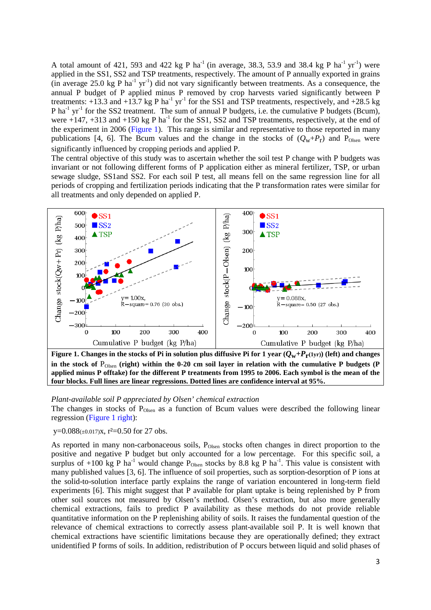A total amount of 421, 593 and 422 kg P ha<sup>-1</sup> (in average, 38.3, 53.9 and 38.4 kg P ha<sup>-1</sup> yr<sup>-1</sup>) were applied in the SS1, SS2 and TSP treatments, respectively. The amount of P annually exported in grains (in average 25.0 kg P ha<sup>-1</sup> yr<sup>-1</sup>) did not vary significantly between treatments. As a consequence, the annual P budget of P applied minus P removed by crop harvests varied significantly between P treatments:  $+13.3$  and  $+13.7$  kg P ha<sup>-1</sup> yr<sup>-1</sup> for the SS1 and TSP treatments, respectively, and  $+28.5$  kg P ha<sup>-1</sup> yr<sup>-1</sup> for the SS2 treatment. The sum of annual P budgets, i.e. the cumulative P budgets (Bcum), were  $+147$ ,  $+313$  and  $+150$  kg P ha<sup>-1</sup> for the SS1, SS2 and TSP treatments, respectively, at the end of the experiment in 2006 (Figure 1). This range is similar and representative to those reported in many publications [4, 6]. The Bcum values and the change in the stocks of  $(Q_w + P_r)$  and  $P_{Olsen}$  were significantly influenced by cropping periods and applied P.

The central objective of this study was to ascertain whether the soil test P change with P budgets was invariant or not following different forms of P application either as mineral fertilizer, TSP, or urban sewage sludge, SS1and SS2. For each soil P test, all means fell on the same regression line for all periods of cropping and fertilization periods indicating that the P transformation rates were similar for all treatments and only depended on applied P.



**Figure 1. Changes in the stocks of Pi in solution plus diffusive Pi for 1 year**  $(Q_w + P_r(1yr))$  **(left) and changes** in the stock of  $P_{Olsen}$  (right) within the 0-20 cm soil layer in relation with the cumulative P budgets (P **applied minus P offtake) for the different P treatments from 1995 to 2006. Each symbol is the mean of the four blocks. Full lines are linear regressions. Dotted lines are confidence interval at 95%.** 

#### *Plant-available soil P appreciated by Olsen' chemical extraction*

The changes in stocks of  $P_{Olsen}$  as a function of Bcum values were described the following linear regression (Figure 1 right):

y= $0.088(\pm 0.017)$ x, r<sup>2</sup>= $0.50$  for 27 obs.

As reported in many non-carbonaceous soils, P<sub>Olsen</sub> stocks often changes in direct proportion to the positive and negative P budget but only accounted for a low percentage. For this specific soil, a surplus of +100 kg P ha<sup>-1</sup> would change  $P_{Olsen}$  stocks by 8.8 kg P ha<sup>-1</sup>. This value is consistent with many published values [3, 6]. The influence of soil properties, such as sorption-desorption of P ions at the solid-to-solution interface partly explains the range of variation encountered in long-term field experiments [6]. This might suggest that P available for plant uptake is being replenished by P from other soil sources not measured by Olsen's method. Olsen's extraction, but also more generally chemical extractions, fails to predict P availability as these methods do not provide reliable quantitative information on the P replenishing ability of soils. It raises the fundamental question of the relevance of chemical extractions to correctly assess plant-available soil P. It is well known that chemical extractions have scientific limitations because they are operationally defined; they extract unidentified P forms of soils. In addition, redistribution of P occurs between liquid and solid phases of